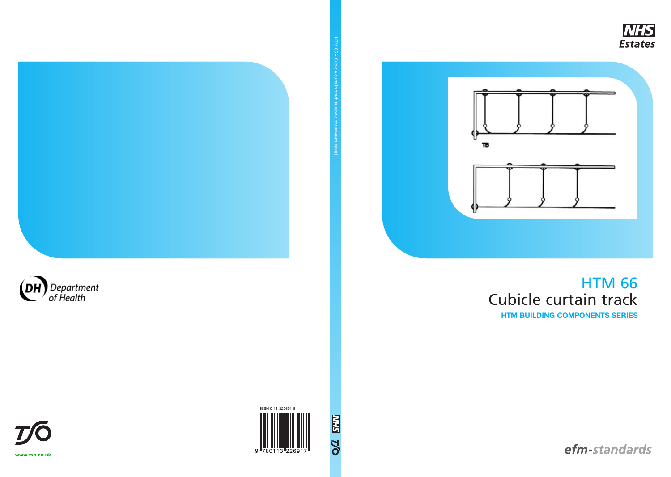## HTM 66 Cubicle curtain track **HTM BUILDING COMPONENTS SERIES**

efm-standards

COMPONENTS

SERIES )









 $H_{\rm eff}$  ,  $H_{\rm eff}$  ,  $H_{\rm eff}$  ,  $H_{\rm eff}$  ,  $H_{\rm eff}$  ,  $H_{\rm eff}$  ,  $H_{\rm eff}$  ,  $H_{\rm eff}$ 

**[www.tso.co.uk](http://www.tso.co.uk)**

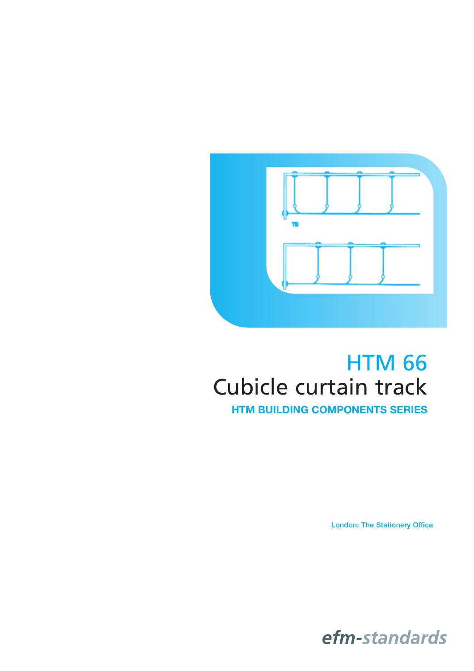

# HTM 66 Cubicle curtain track

**HTM BUILDING COMPONENTS SERIES**

**London: The Stationery Office**

efm-standards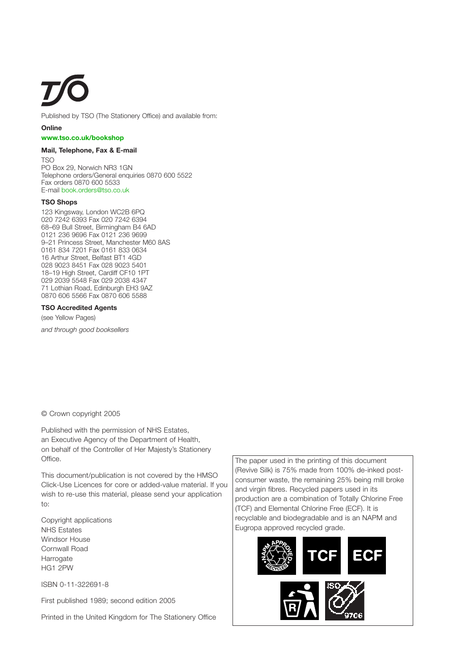Published by TSO (The Stationery Office) and available from:

#### **Online**

#### **[www.tso.co.uk/bookshop](http://www.tso.co.uk/bookshop)**

#### **Mail, Telephone, Fax & E-mail**

TSO PO Box 29, Norwich NR3 1GN Telephone orders/General enquiries 0870 600 5522 Fax orders 0870 600 5533 E-mail [book.orders@tso.co.uk](mailto:book.orders@tso.co.uk)

#### **TSO Shops**

123 Kingsway, London WC2B 6PQ 020 7242 6393 Fax 020 7242 6394 68–69 Bull Street, Birmingham B4 6AD 0121 236 9696 Fax 0121 236 9699 9–21 Princess Street, Manchester M60 8AS 0161 834 7201 Fax 0161 833 0634 16 Arthur Street, Belfast BT1 4GD 028 9023 8451 Fax 028 9023 5401 18–19 High Street, Cardiff CF10 1PT 029 2039 5548 Fax 029 2038 4347 71 Lothian Road, Edinburgh EH3 9AZ 0870 606 5566 Fax 0870 606 5588

#### **TSO Accredited Agents**

(see Yellow Pages)

*and through good booksellers*

© Crown copyright 2005

Published with the permission of NHS Estates, an Executive Agency of the Department of Health, on behalf of the Controller of Her Majesty's Stationery Office.

This document/publication is not covered by the HMSO Click-Use Licences for core or added-value material. If you wish to re-use this material, please send your application to:

Copyright applications NHS Estates Windsor House Cornwall Road Harrogate HG1 2PW

ISBN 0-11-322691-8

First published 1989; second edition 2005

Printed in the United Kingdom for The Stationery Office

The paper used in the printing of this document (Revive Silk) is 75% made from 100% de-inked postconsumer waste, the remaining 25% being mill broke and virgin fibres. Recycled papers used in its production are a combination of Totally Chlorine Free (TCF) and Elemental Chlorine Free (ECF). It is recyclable and biodegradable and is an NAPM and Eugropa approved recycled grade.

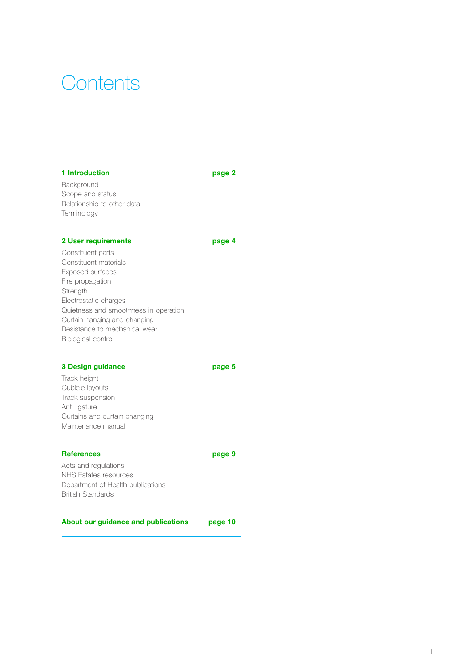## **Contents**

#### **[1 Introduction page 2](#page-4-0)**

Background Scope and status Relationship to other data Terminology

#### **[2 User requirements page 4](#page-6-0)**

Constituent parts Constituent materials Exposed surfaces Fire propagation **Strength** Electrostatic charges Quietness and smoothness in operation Curtain hanging and changing Resistance to mechanical wear Biological control

#### **[3 Design guidance page 5](#page-7-0)**

Track height Cubicle layouts Track suspension Anti ligature Curtains and curtain changing Maintenance manual

#### **[References page 9](#page-11-0)**

Acts and regulations NHS Estates resources Department of Health publications British Standards

#### **[About our guidance and publications page 10](#page-12-0)**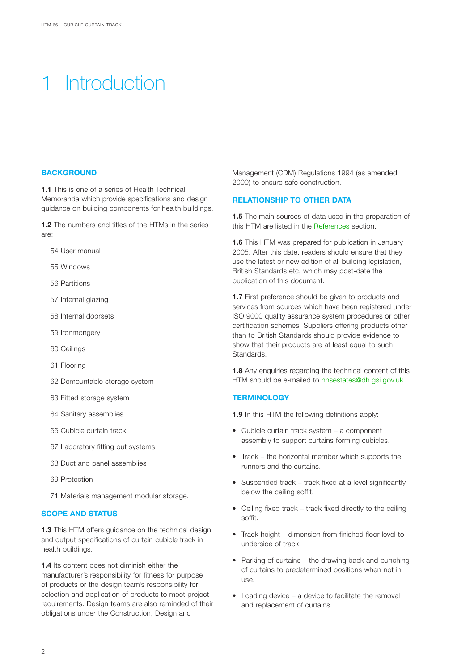## <span id="page-4-0"></span>**Introduction**

#### **BACKGROUND**

**1.1** This is one of a series of Health Technical Memoranda which provide specifications and design guidance on building components for health buildings.

**1.2** The numbers and titles of the HTMs in the series are:

- 54 User manual
- 55 Windows
- 56 Partitions
- 57 Internal glazing
- 58 Internal doorsets
- 59 Ironmongery
- 60 Ceilings
- 61 Flooring
- 62 Demountable storage system
- 63 Fitted storage system
- 64 Sanitary assemblies
- 66 Cubicle curtain track
- 67 Laboratory fitting out systems
- 68 Duct and panel assemblies
- 69 Protection
- 71 Materials management modular storage.

#### **SCOPE AND STATUS**

**1.3** This HTM offers guidance on the technical design and output specifications of curtain cubicle track in health buildings.

**1.4** Its content does not diminish either the manufacturer's responsibility for fitness for purpose of products or the design team's responsibility for selection and application of products to meet project requirements. Design teams are also reminded of their obligations under the Construction, Design and

Management (CDM) Regulations 1994 (as amended 2000) to ensure safe construction.

#### **RELATIONSHIP TO OTHER DATA**

**1.5** The main sources of data used in the preparation of this HTM are listed in the [References](#page-11-0) section.

**1.6** This HTM was prepared for publication in January 2005. After this date, readers should ensure that they use the latest or new edition of all building legislation, British Standards etc, which may post-date the publication of this document.

**1.7** First preference should be given to products and services from sources which have been registered under ISO 9000 quality assurance system procedures or other certification schemes. Suppliers offering products other than to British Standards should provide evidence to show that their products are at least equal to such Standards.

**1.8** Any enquiries regarding the technical content of this HTM should be e-mailed to [nhsestates@dh.gsi.gov.uk](mailto:nhsestates@dh.gsi.gov.uk).

#### **TERMINOLOGY**

**1.9** In this HTM the following definitions apply:

- Cubicle curtain track system a component assembly to support curtains forming cubicles.
- Track the horizontal member which supports the runners and the curtains.
- Suspended track track fixed at a level significantly below the ceiling soffit.
- Ceiling fixed track track fixed directly to the ceiling soffit.
- Track height dimension from finished floor level to underside of track.
- Parking of curtains the drawing back and bunching of curtains to predetermined positions when not in use.
- Loading device a device to facilitate the removal and replacement of curtains.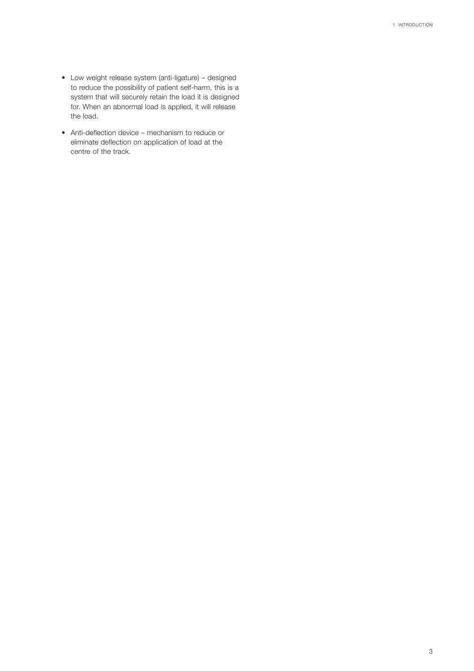- Low weight release system (anti-ligature) designed to reduce the possibility of patient self-harm, this is a system that will securely retain the load it is designed for. When an abnormal load is applied, it will release the load.
- Anti-deflection device mechanism to reduce or eliminate deflection on application of load at the centre of the track.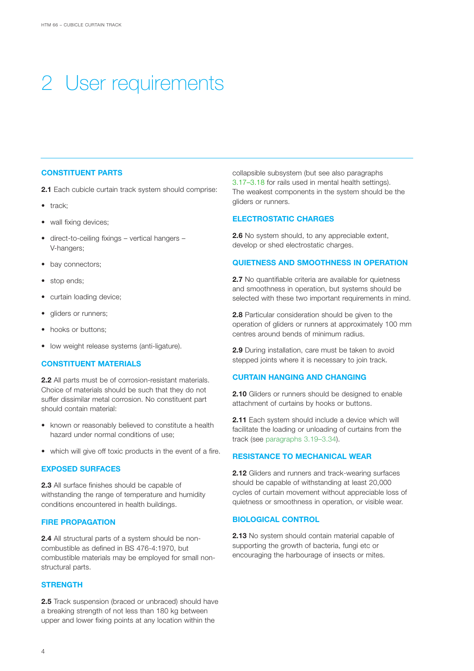# <span id="page-6-0"></span>2 User requirements

#### **CONSTITUENT PARTS**

**2.1** Each cubicle curtain track system should comprise:

- track;
- wall fixing devices;
- direct-to-ceiling fixings vertical hangers V-hangers;
- bay connectors;
- stop ends;
- curtain loading device;
- gliders or runners;
- hooks or buttons:
- low weight release systems (anti-ligature).

### **CONSTITUENT MATERIALS**

**2.2** All parts must be of corrosion-resistant materials. Choice of materials should be such that they do not suffer dissimilar metal corrosion. No constituent part should contain material:

- known or reasonably believed to constitute a health hazard under normal conditions of use;
- which will give off toxic products in the event of a fire.

#### **EXPOSED SURFACES**

**2.3** All surface finishes should be capable of withstanding the range of temperature and humidity conditions encountered in health buildings.

#### **FIRE PROPAGATION**

**2.4** All structural parts of a system should be noncombustible as defined in BS 476-4:1970, but combustible materials may be employed for small nonstructural parts.

#### **STRENGTH**

**2.5** Track suspension (braced or unbraced) should have a breaking strength of not less than 180 kg between upper and lower fixing points at any location within the

collapsible subsystem (but see also paragraphs [3.17–3.18](#page-8-0) for rails used in mental health settings). The weakest components in the system should be the gliders or runners.

#### **ELECTROSTATIC CHARGES**

**2.6** No system should, to any appreciable extent, develop or shed electrostatic charges.

#### **QUIETNESS AND SMOOTHNESS IN OPERATION**

**2.7** No quantifiable criteria are available for quietness and smoothness in operation, but systems should be selected with these two important requirements in mind.

**2.8** Particular consideration should be given to the operation of gliders or runners at approximately 100 mm centres around bends of minimum radius.

**2.9** During installation, care must be taken to avoid stepped joints where it is necessary to join track.

#### **CURTAIN HANGING AND CHANGING**

**2.10** Gliders or runners should be designed to enable attachment of curtains by hooks or buttons.

**2.11** Each system should include a device which will facilitate the loading or unloading of curtains from the track (see [paragraphs 3.19–3.34\).](#page-9-0)

#### **RESISTANCE TO MECHANICAL WEAR**

**2.12** Gliders and runners and track-wearing surfaces should be capable of withstanding at least 20,000 cycles of curtain movement without appreciable loss of quietness or smoothness in operation, or visible wear.

#### **BIOLOGICAL CONTROL**

**2.13** No system should contain material capable of supporting the growth of bacteria, fungi etc or encouraging the harbourage of insects or mites.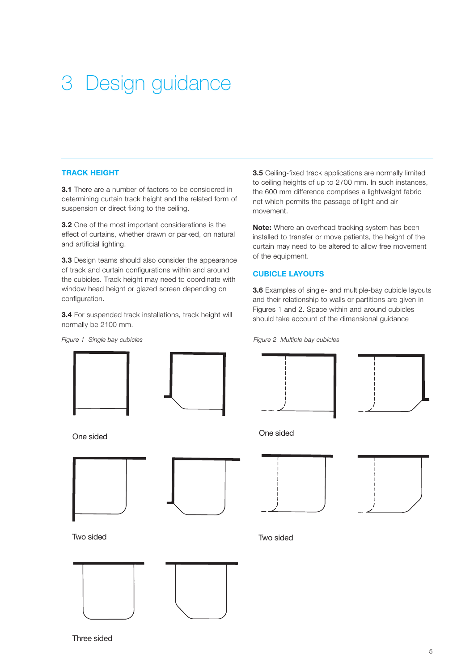# <span id="page-7-0"></span>3 Design guidance

#### **TRACK HEIGHT**

**3.1** There are a number of factors to be considered in determining curtain track height and the related form of suspension or direct fixing to the ceiling.

**3.2** One of the most important considerations is the effect of curtains, whether drawn or parked, on natural and artificial lighting.

**3.3** Design teams should also consider the appearance of track and curtain configurations within and around the cubicles. Track height may need to coordinate with window head height or glazed screen depending on configuration.

**3.4** For suspended track installations, track height will normally be 2100 mm.

**3.5** Ceiling-fixed track applications are normally limited to ceiling heights of up to 2700 mm. In such instances, the 600 mm difference comprises a lightweight fabric net which permits the passage of light and air movement.

**Note:** Where an overhead tracking system has been installed to transfer or move patients, the height of the curtain may need to be altered to allow free movement of the equipment.

#### **CUBICLE LAYOUTS**

**3.6** Examples of single- and multiple-bay cubicle layouts and their relationship to walls or partitions are given in Figures 1 and 2. Space within and around cubicles should take account of the dimensional guidance

*Figure 2 Multiple bay cubicles*





One sided





Two sided







One sided





Two sided

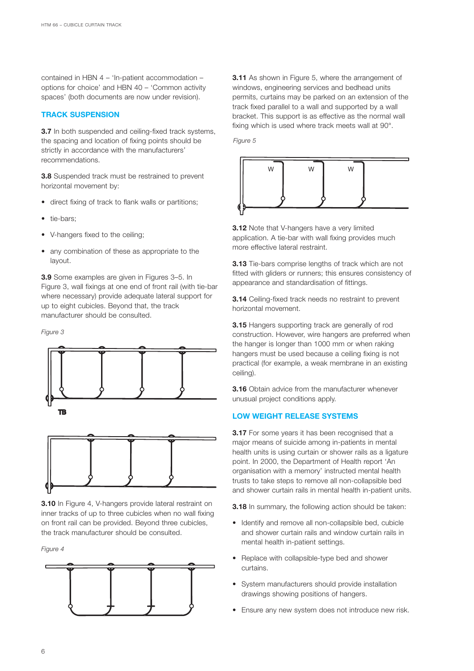<span id="page-8-0"></span>contained in HBN 4 – 'In-patient accommodation – options for choice' and HBN 40 – 'Common activity spaces' (both documents are now under revision).

#### **TRACK SUSPENSION**

**3.7** In both suspended and ceiling-fixed track systems, the spacing and location of fixing points should be strictly in accordance with the manufacturers' recommendations.

**3.8** Suspended track must be restrained to prevent horizontal movement by:

- direct fixing of track to flank walls or partitions;
- tie-bars;
- V-hangers fixed to the ceiling;
- any combination of these as appropriate to the layout.

**3.9** Some examples are given in Figures 3–5. In Figure 3, wall fixings at one end of front rail (with tie-bar where necessary) provide adequate lateral support for up to eight cubicles. Beyond that, the track manufacturer should be consulted.

*Figure 3*



**3.10** In Figure 4, V-hangers provide lateral restraint on inner tracks of up to three cubicles when no wall fixing on front rail can be provided. Beyond three cubicles, the track manufacturer should be consulted.

*Figure 4*



**3.11** As shown in Figure 5, where the arrangement of windows, engineering services and bedhead units permits, curtains may be parked on an extension of the track fixed parallel to a wall and supported by a wall bracket. This support is as effective as the normal wall fixing which is used where track meets wall at 90°.

*Figure 5*



**3.12** Note that V-hangers have a very limited application. A tie-bar with wall fixing provides much more effective lateral restraint.

**3.13** Tie-bars comprise lengths of track which are not fitted with gliders or runners; this ensures consistency of appearance and standardisation of fittings.

**3.14** Ceiling-fixed track needs no restraint to prevent horizontal movement.

**3.15** Hangers supporting track are generally of rod construction. However, wire hangers are preferred when the hanger is longer than 1000 mm or when raking hangers must be used because a ceiling fixing is not practical (for example, a weak membrane in an existing ceiling).

**3.16** Obtain advice from the manufacturer whenever unusual project conditions apply.

### **LOW WEIGHT RELEASE SYSTEMS**

**3.17** For some years it has been recognised that a major means of suicide among in-patients in mental health units is using curtain or shower rails as a ligature point. In 2000, the Department of Health report 'An organisation with a memory' instructed mental health trusts to take steps to remove all non-collapsible bed and shower curtain rails in mental health in-patient units.

**3.18** In summary, the following action should be taken:

- Identify and remove all non-collapsible bed, cubicle and shower curtain rails and window curtain rails in mental health in-patient settings.
- Replace with collapsible-type bed and shower curtains.
- System manufacturers should provide installation drawings showing positions of hangers.
- Ensure any new system does not introduce new risk.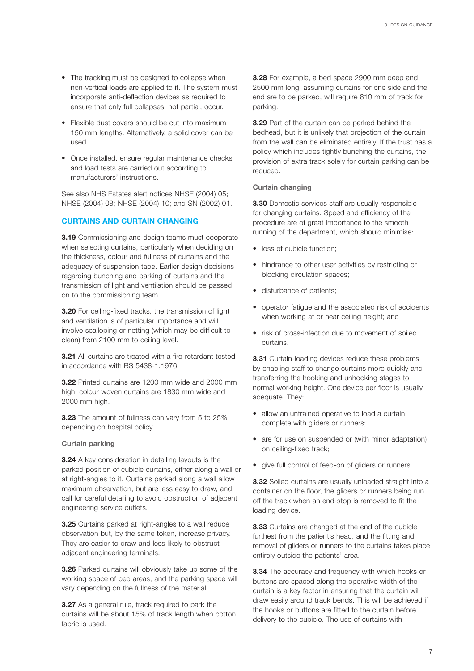- <span id="page-9-0"></span>• The tracking must be designed to collapse when non-vertical loads are applied to it. The system must incorporate anti-deflection devices as required to ensure that only full collapses, not partial, occur.
- Flexible dust covers should be cut into maximum 150 mm lengths. Alternatively, a solid cover can be used.
- Once installed, ensure regular maintenance checks and load tests are carried out according to manufacturers' instructions.

See also NHS Estates alert notices NHSE (2004) 05; NHSE (2004) 08; NHSE (2004) 10; and SN (2002) 01.

#### **CURTAINS AND CURTAIN CHANGING**

**3.19** Commissioning and design teams must cooperate when selecting curtains, particularly when deciding on the thickness, colour and fullness of curtains and the adequacy of suspension tape. Earlier design decisions regarding bunching and parking of curtains and the transmission of light and ventilation should be passed on to the commissioning team.

**3.20** For ceiling-fixed tracks, the transmission of light and ventilation is of particular importance and will involve scalloping or netting (which may be difficult to clean) from 2100 mm to ceiling level.

**3.21** All curtains are treated with a fire-retardant tested in accordance with BS 5438-1:1976.

**3.22** Printed curtains are 1200 mm wide and 2000 mm high; colour woven curtains are 1830 mm wide and 2000 mm high.

**3.23** The amount of fullness can vary from 5 to 25% depending on hospital policy.

#### **Curtain parking**

**3.24** A key consideration in detailing layouts is the parked position of cubicle curtains, either along a wall or at right-angles to it. Curtains parked along a wall allow maximum observation, but are less easy to draw, and call for careful detailing to avoid obstruction of adjacent engineering service outlets.

**3.25** Curtains parked at right-angles to a wall reduce observation but, by the same token, increase privacy. They are easier to draw and less likely to obstruct adjacent engineering terminals.

**3.26** Parked curtains will obviously take up some of the working space of bed areas, and the parking space will vary depending on the fullness of the material.

**3.27** As a general rule, track required to park the curtains will be about 15% of track length when cotton fabric is used.

**3.28** For example, a bed space 2900 mm deep and 2500 mm long, assuming curtains for one side and the end are to be parked, will require 810 mm of track for parking.

**3.29** Part of the curtain can be parked behind the bedhead, but it is unlikely that projection of the curtain from the wall can be eliminated entirely. If the trust has a policy which includes tightly bunching the curtains, the provision of extra track solely for curtain parking can be reduced.

#### **Curtain changing**

**3.30** Domestic services staff are usually responsible for changing curtains. Speed and efficiency of the procedure are of great importance to the smooth running of the department, which should minimise:

- loss of cubicle function;
- hindrance to other user activities by restricting or blocking circulation spaces;
- disturbance of patients;
- operator fatigue and the associated risk of accidents when working at or near ceiling height; and
- risk of cross-infection due to movement of soiled curtains.

**3.31** Curtain-loading devices reduce these problems by enabling staff to change curtains more quickly and transferring the hooking and unhooking stages to normal working height. One device per floor is usually adequate. They:

- allow an untrained operative to load a curtain complete with gliders or runners;
- are for use on suspended or (with minor adaptation) on ceiling-fixed track;
- give full control of feed-on of gliders or runners.

**3.32** Soiled curtains are usually unloaded straight into a container on the floor, the gliders or runners being run off the track when an end-stop is removed to fit the loading device.

**3.33** Curtains are changed at the end of the cubicle furthest from the patient's head, and the fitting and removal of gliders or runners to the curtains takes place entirely outside the patients' area.

**3.34** The accuracy and frequency with which hooks or buttons are spaced along the operative width of the curtain is a key factor in ensuring that the curtain will draw easily around track bends. This will be achieved if the hooks or buttons are fitted to the curtain before delivery to the cubicle. The use of curtains with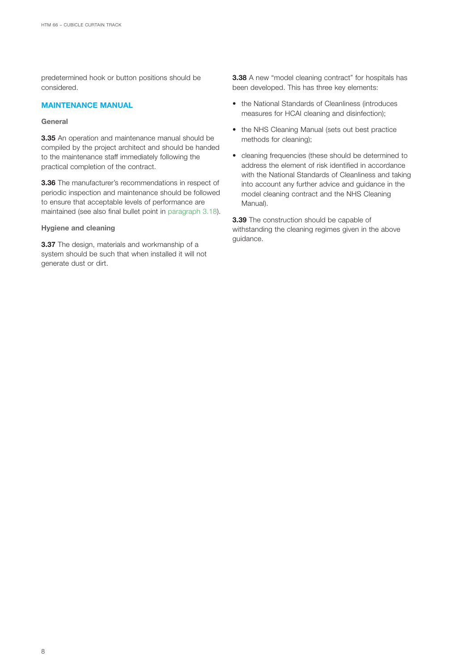predetermined hook or button positions should be considered.

#### **MAINTENANCE MANUAL**

#### **General**

**3.35** An operation and maintenance manual should be compiled by the project architect and should be handed to the maintenance staff immediately following the practical completion of the contract.

**3.36** The manufacturer's recommendations in respect of periodic inspection and maintenance should be followed to ensure that acceptable levels of performance are maintained (see also final bullet point in [paragraph 3.18\).](#page-8-0)

#### **Hygiene and cleaning**

**3.37** The design, materials and workmanship of a system should be such that when installed it will not generate dust or dirt.

**3.38** A new "model cleaning contract" for hospitals has been developed. This has three key elements:

- the National Standards of Cleanliness (introduces measures for HCAI cleaning and disinfection);
- the NHS Cleaning Manual (sets out best practice methods for cleaning);
- cleaning frequencies (these should be determined to address the element of risk identified in accordance with the National Standards of Cleanliness and taking into account any further advice and guidance in the model cleaning contract and the NHS Cleaning Manual).

**3.39** The construction should be capable of withstanding the cleaning regimes given in the above guidance.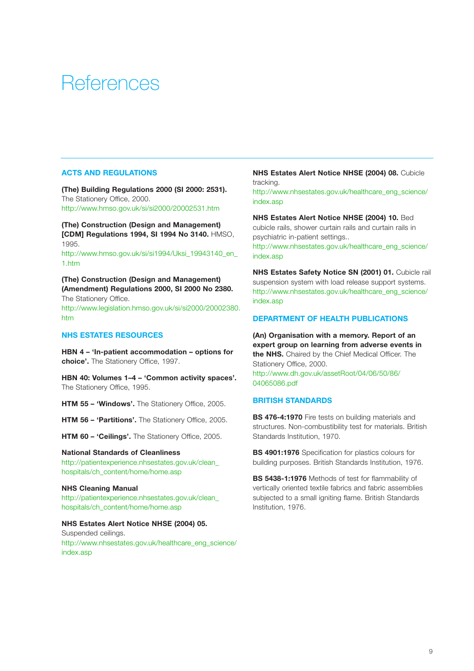## <span id="page-11-0"></span>**References**

#### **ACTS AND REGULATIONS**

**(The) Building Regulations 2000 (SI 2000: 2531).**  The Stationery Office, 2000. <http://www.hmso.gov.uk/si/si2000/20002531.htm>

**(The) Construction (Design and Management) [CDM] Regulations 1994, SI 1994 No 3140.** HMSO, 1995.

[http://www.hmso.gov.uk/si/si1994/Uksi\\_19943140\\_en\\_](http://www.hmso.gov.uk/si/si1994/Uksi_19943140_en_1.htm) 1.htm

**(The) Construction (Design and Management) (Amendment) Regulations 2000, SI 2000 No 2380.** The Stationery Office. [http://www.legislation.hmso.gov.uk/si/si2000/20002380.](http://www.legislation.hmso.gov.uk/si/si2000/20002380.htm) htm

#### **NHS ESTATES RESOURCES**

**HBN 4 – 'In-patient accommodation – options for choice'.** The Stationery Office, 1997.

**HBN 40: Volumes 1–4 – 'Common activity spaces'.** The Stationery Office, 1995.

**HTM 55 – 'Windows'.** The Stationery Office, 2005.

**HTM 56 – 'Partitions'.** The Stationery Office, 2005.

**HTM 60 – 'Ceilings'.** The Stationery Office, 2005.

### **National Standards of Cleanliness** [http://patientexperience.nhsestates.gov.uk/clean\\_](http://patientexperience.nhsestates.gov.uk/clean_hospitals/ch_content/home/home.asp)

hospitals/ch\_content/home/home.asp

#### **NHS Cleaning Manual**

[http://patientexperience.nhsestates.gov.uk/clean\\_](http://patientexperience.nhsestates.gov.uk/clean_hospitals/ch_content/home/home.asp) hospitals/ch\_content/home/home.asp

### **NHS Estates Alert Notice NHSE (2004) 05.**

Suspended ceilings. [http://www.nhsestates.gov.uk/healthcare\\_eng\\_science/](http://www.nhsestates.gov.uk/healthcare_eng_science/index.asp) index.asp

#### **NHS Estates Alert Notice NHSE (2004) 08.** Cubicle tracking.

[http://www.nhsestates.gov.uk/healthcare\\_eng\\_science/](http://www.nhsestates.gov.uk/healthcare_eng_science/index.asp) index.asp

**NHS Estates Alert Notice NHSE (2004) 10.** Bed cubicle rails, shower curtain rails and curtain rails in psychiatric in-patient settings..

[http://www.nhsestates.gov.uk/healthcare\\_eng\\_science/](http://www.nhsestates.gov.uk/healthcare_eng_science/index.asp) index.asp

**NHS Estates Safety Notice SN (2001) 01. Cubicle rail** suspension system with load release support systems. [http://www.nhsestates.gov.uk/healthcare\\_eng\\_science/](http://www.nhsestates.gov.uk/healthcare_eng_science/index.asp) index.asp

#### **DEPARTMENT OF HEALTH PUBLICATIONS**

**(An) Organisation with a memory. Report of an expert group on learning from adverse events in the NHS.** Chaired by the Chief Medical Officer. The Stationery Office, 2000. [http://www.dh.gov.uk/assetRoot/04/06/50/86/](http://www.dh.gov.uk/assetRoot/04/06/50/86/04065086.pdf) 04065086.pdf

#### **BRITISH STANDARDS**

**BS 476-4:1970** Fire tests on building materials and structures. Non-combustibility test for materials. British Standards Institution, 1970.

**BS 4901:1976** Specification for plastics colours for building purposes. British Standards Institution, 1976.

**BS 5438-1:1976** Methods of test for flammability of vertically oriented textile fabrics and fabric assemblies subjected to a small igniting flame. British Standards Institution, 1976.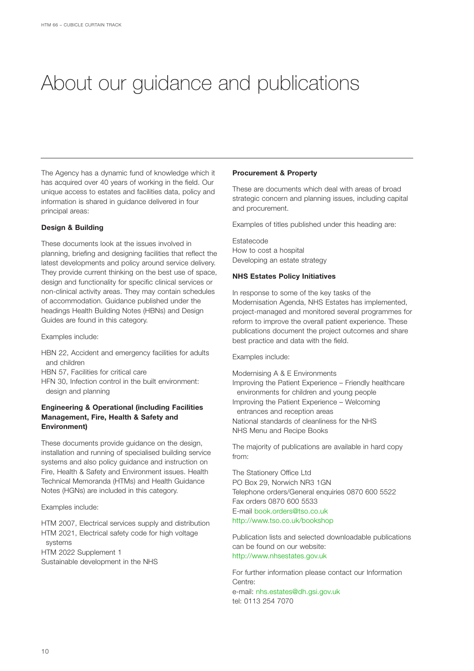# <span id="page-12-0"></span>About our guidance and publications

The Agency has a dynamic fund of knowledge which it has acquired over 40 years of working in the field. Our unique access to estates and facilities data, policy and information is shared in guidance delivered in four principal areas:

#### **Design & Building**

These documents look at the issues involved in planning, briefing and designing facilities that reflect the latest developments and policy around service delivery. They provide current thinking on the best use of space, design and functionality for specific clinical services or non-clinical activity areas. They may contain schedules of accommodation. Guidance published under the headings Health Building Notes (HBNs) and Design Guides are found in this category.

Examples include:

- HBN 22, Accident and emergency facilities for adults and children
- HBN 57, Facilities for critical care
- HFN 30, Infection control in the built environment: design and planning

#### **Engineering & Operational (including Facilities Management, Fire, Health & Safety and Environment)**

These documents provide guidance on the design, installation and running of specialised building service systems and also policy guidance and instruction on Fire, Health & Safety and Environment issues. Health Technical Memoranda (HTMs) and Health Guidance Notes (HGNs) are included in this category.

Examples include:

HTM 2007, Electrical services supply and distribution HTM 2021, Electrical safety code for high voltage systems HTM 2022 Supplement 1

Sustainable development in the NHS

#### **Procurement & Property**

These are documents which deal with areas of broad strategic concern and planning issues, including capital and procurement.

Examples of titles published under this heading are:

Estatecode How to cost a hospital Developing an estate strategy

#### **NHS Estates Policy Initiatives**

In response to some of the key tasks of the Modernisation Agenda, NHS Estates has implemented, project-managed and monitored several programmes for reform to improve the overall patient experience. These publications document the project outcomes and share best practice and data with the field.

Examples include:

Modernising A & E Environments Improving the Patient Experience – Friendly healthcare environments for children and young people Improving the Patient Experience – Welcoming entrances and reception areas National standards of cleanliness for the NHS NHS Menu and Recipe Books

The majority of publications are available in hard copy from:

The Stationery Office Ltd PO Box 29, Norwich NR3 1GN Telephone orders/General enquiries 0870 600 5522 Fax orders 0870 600 5533 E-mail [book.orders@tso.co.uk](mailto:book.orders@tso.co.uk) <http://www.tso.co.uk/bookshop>

Publication lists and selected downloadable publications can be found on our website: <http://www.nhsestates.gov.uk>

For further information please contact our Information Centre: e-mail: [nhs.estates@dh.gsi.gov.uk](mailto:nhsestates@dh.gsi.gov.uk) tel: 0113 254 7070